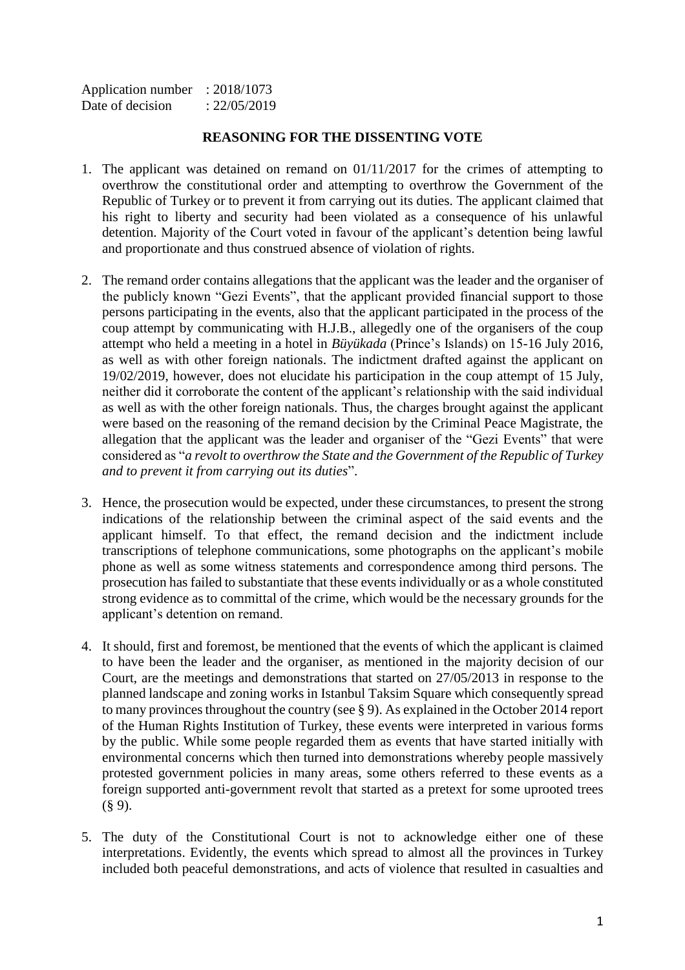| Application number | : 2018/1073  |
|--------------------|--------------|
| Date of decision   | : 22/05/2019 |

## **REASONING FOR THE DISSENTING VOTE**

- 1. The applicant was detained on remand on 01/11/2017 for the crimes of attempting to overthrow the constitutional order and attempting to overthrow the Government of the Republic of Turkey or to prevent it from carrying out its duties. The applicant claimed that his right to liberty and security had been violated as a consequence of his unlawful detention. Majority of the Court voted in favour of the applicant's detention being lawful and proportionate and thus construed absence of violation of rights.
- 2. The remand order contains allegations that the applicant was the leader and the organiser of the publicly known "Gezi Events", that the applicant provided financial support to those persons participating in the events, also that the applicant participated in the process of the coup attempt by communicating with H.J.B., allegedly one of the organisers of the coup attempt who held a meeting in a hotel in *Büyükada* (Prince's Islands) on 15-16 July 2016, as well as with other foreign nationals. The indictment drafted against the applicant on 19/02/2019, however, does not elucidate his participation in the coup attempt of 15 July, neither did it corroborate the content of the applicant's relationship with the said individual as well as with the other foreign nationals. Thus, the charges brought against the applicant were based on the reasoning of the remand decision by the Criminal Peace Magistrate, the allegation that the applicant was the leader and organiser of the "Gezi Events" that were considered as "*a revolt to overthrow the State and the Government of the Republic of Turkey and to prevent it from carrying out its duties*".
- 3. Hence, the prosecution would be expected, under these circumstances, to present the strong indications of the relationship between the criminal aspect of the said events and the applicant himself. To that effect, the remand decision and the indictment include transcriptions of telephone communications, some photographs on the applicant's mobile phone as well as some witness statements and correspondence among third persons. The prosecution has failed to substantiate that these events individually or as a whole constituted strong evidence as to committal of the crime, which would be the necessary grounds for the applicant's detention on remand.
- 4. It should, first and foremost, be mentioned that the events of which the applicant is claimed to have been the leader and the organiser, as mentioned in the majority decision of our Court, are the meetings and demonstrations that started on 27/05/2013 in response to the planned landscape and zoning works in Istanbul Taksim Square which consequently spread to many provinces throughout the country (see § 9). As explained in the October 2014 report of the Human Rights Institution of Turkey, these events were interpreted in various forms by the public. While some people regarded them as events that have started initially with environmental concerns which then turned into demonstrations whereby people massively protested government policies in many areas, some others referred to these events as a foreign supported anti-government revolt that started as a pretext for some uprooted trees  $(§ 9).$
- 5. The duty of the Constitutional Court is not to acknowledge either one of these interpretations. Evidently, the events which spread to almost all the provinces in Turkey included both peaceful demonstrations, and acts of violence that resulted in casualties and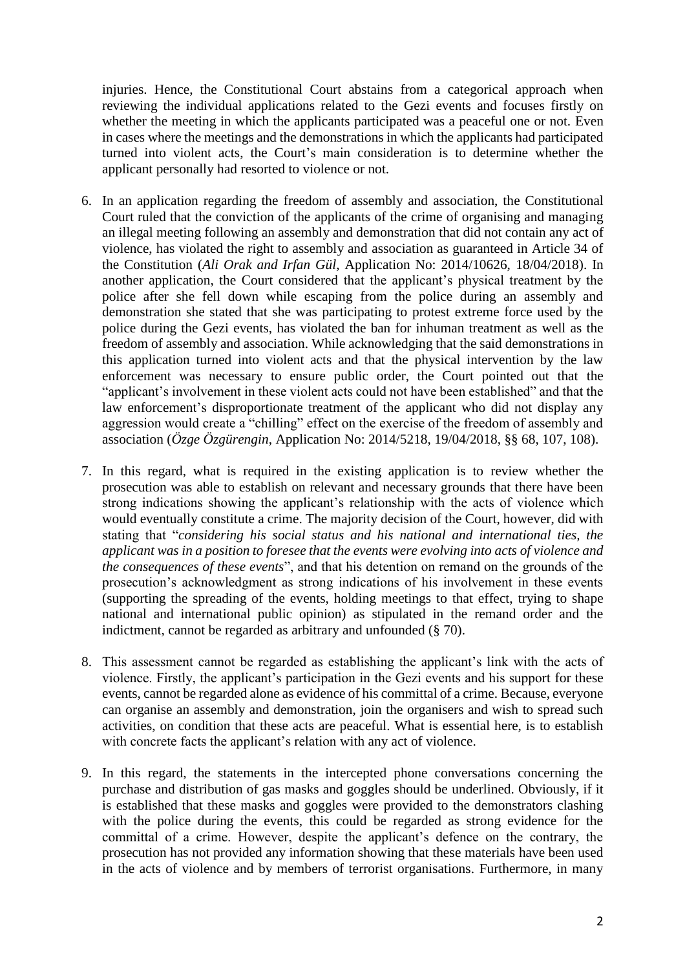injuries. Hence, the Constitutional Court abstains from a categorical approach when reviewing the individual applications related to the Gezi events and focuses firstly on whether the meeting in which the applicants participated was a peaceful one or not. Even in cases where the meetings and the demonstrations in which the applicants had participated turned into violent acts, the Court's main consideration is to determine whether the applicant personally had resorted to violence or not.

- 6. In an application regarding the freedom of assembly and association, the Constitutional Court ruled that the conviction of the applicants of the crime of organising and managing an illegal meeting following an assembly and demonstration that did not contain any act of violence, has violated the right to assembly and association as guaranteed in Article 34 of the Constitution (*Ali Orak and Irfan Gül*, Application No: 2014/10626, 18/04/2018). In another application, the Court considered that the applicant's physical treatment by the police after she fell down while escaping from the police during an assembly and demonstration she stated that she was participating to protest extreme force used by the police during the Gezi events, has violated the ban for inhuman treatment as well as the freedom of assembly and association. While acknowledging that the said demonstrations in this application turned into violent acts and that the physical intervention by the law enforcement was necessary to ensure public order, the Court pointed out that the "applicant's involvement in these violent acts could not have been established" and that the law enforcement's disproportionate treatment of the applicant who did not display any aggression would create a "chilling" effect on the exercise of the freedom of assembly and association (*Özge Özgürengin*, Application No: 2014/5218, 19/04/2018, §§ 68, 107, 108).
- 7. In this regard, what is required in the existing application is to review whether the prosecution was able to establish on relevant and necessary grounds that there have been strong indications showing the applicant's relationship with the acts of violence which would eventually constitute a crime. The majority decision of the Court, however, did with stating that "*considering his social status and his national and international ties, the applicant was in a position to foresee that the events were evolving into acts of violence and the consequences of these events*", and that his detention on remand on the grounds of the prosecution's acknowledgment as strong indications of his involvement in these events (supporting the spreading of the events, holding meetings to that effect, trying to shape national and international public opinion) as stipulated in the remand order and the indictment, cannot be regarded as arbitrary and unfounded (§ 70).
- 8. This assessment cannot be regarded as establishing the applicant's link with the acts of violence. Firstly, the applicant's participation in the Gezi events and his support for these events, cannot be regarded alone as evidence of his committal of a crime. Because, everyone can organise an assembly and demonstration, join the organisers and wish to spread such activities, on condition that these acts are peaceful. What is essential here, is to establish with concrete facts the applicant's relation with any act of violence.
- 9. In this regard, the statements in the intercepted phone conversations concerning the purchase and distribution of gas masks and goggles should be underlined. Obviously, if it is established that these masks and goggles were provided to the demonstrators clashing with the police during the events, this could be regarded as strong evidence for the committal of a crime. However, despite the applicant's defence on the contrary, the prosecution has not provided any information showing that these materials have been used in the acts of violence and by members of terrorist organisations. Furthermore, in many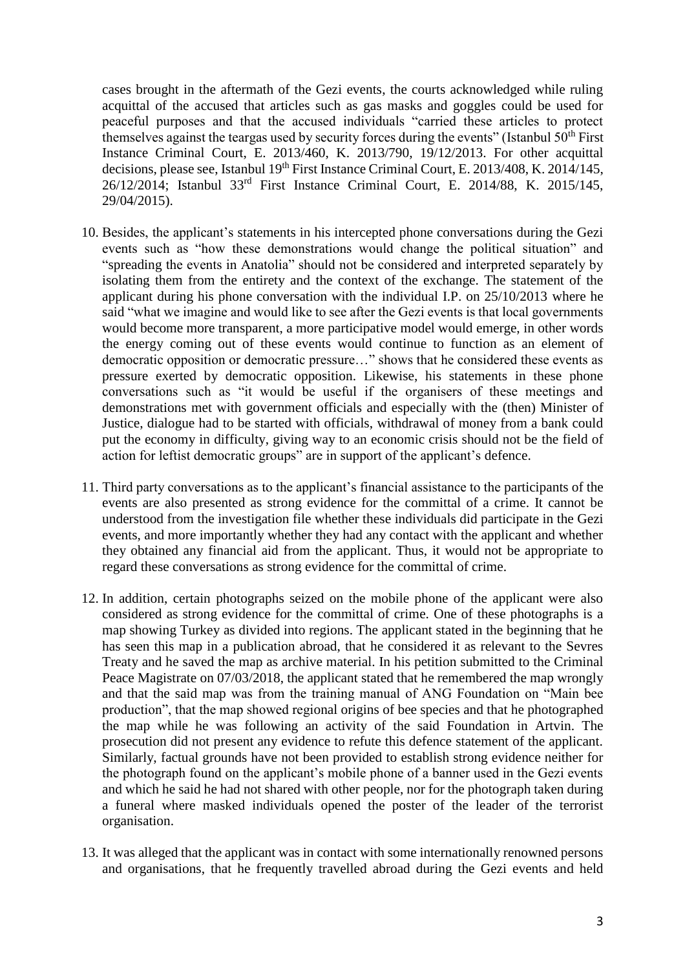cases brought in the aftermath of the Gezi events, the courts acknowledged while ruling acquittal of the accused that articles such as gas masks and goggles could be used for peaceful purposes and that the accused individuals "carried these articles to protect themselves against the teargas used by security forces during the events" (Istanbul  $50<sup>th</sup>$  First Instance Criminal Court, E. 2013/460, K. 2013/790, 19/12/2013. For other acquittal decisions, please see, Istanbul 19<sup>th</sup> First Instance Criminal Court, E. 2013/408, K. 2014/145, 26/12/2014; Istanbul 33rd First Instance Criminal Court, E. 2014/88, K. 2015/145, 29/04/2015).

- 10. Besides, the applicant's statements in his intercepted phone conversations during the Gezi events such as "how these demonstrations would change the political situation" and "spreading the events in Anatolia" should not be considered and interpreted separately by isolating them from the entirety and the context of the exchange. The statement of the applicant during his phone conversation with the individual I.P. on 25/10/2013 where he said "what we imagine and would like to see after the Gezi events is that local governments would become more transparent, a more participative model would emerge, in other words the energy coming out of these events would continue to function as an element of democratic opposition or democratic pressure…" shows that he considered these events as pressure exerted by democratic opposition. Likewise, his statements in these phone conversations such as "it would be useful if the organisers of these meetings and demonstrations met with government officials and especially with the (then) Minister of Justice, dialogue had to be started with officials, withdrawal of money from a bank could put the economy in difficulty, giving way to an economic crisis should not be the field of action for leftist democratic groups" are in support of the applicant's defence.
- 11. Third party conversations as to the applicant's financial assistance to the participants of the events are also presented as strong evidence for the committal of a crime. It cannot be understood from the investigation file whether these individuals did participate in the Gezi events, and more importantly whether they had any contact with the applicant and whether they obtained any financial aid from the applicant. Thus, it would not be appropriate to regard these conversations as strong evidence for the committal of crime.
- 12. In addition, certain photographs seized on the mobile phone of the applicant were also considered as strong evidence for the committal of crime. One of these photographs is a map showing Turkey as divided into regions. The applicant stated in the beginning that he has seen this map in a publication abroad, that he considered it as relevant to the Sevres Treaty and he saved the map as archive material. In his petition submitted to the Criminal Peace Magistrate on 07/03/2018, the applicant stated that he remembered the map wrongly and that the said map was from the training manual of ANG Foundation on "Main bee production", that the map showed regional origins of bee species and that he photographed the map while he was following an activity of the said Foundation in Artvin. The prosecution did not present any evidence to refute this defence statement of the applicant. Similarly, factual grounds have not been provided to establish strong evidence neither for the photograph found on the applicant's mobile phone of a banner used in the Gezi events and which he said he had not shared with other people, nor for the photograph taken during a funeral where masked individuals opened the poster of the leader of the terrorist organisation.
- 13. It was alleged that the applicant was in contact with some internationally renowned persons and organisations, that he frequently travelled abroad during the Gezi events and held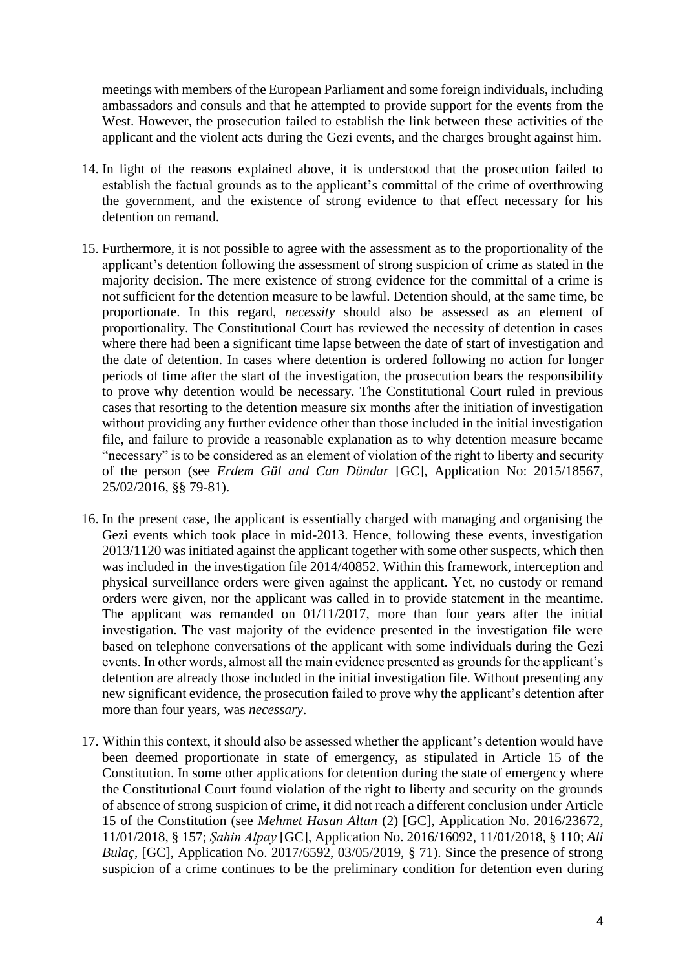meetings with members of the European Parliament and some foreign individuals, including ambassadors and consuls and that he attempted to provide support for the events from the West. However, the prosecution failed to establish the link between these activities of the applicant and the violent acts during the Gezi events, and the charges brought against him.

- 14. In light of the reasons explained above, it is understood that the prosecution failed to establish the factual grounds as to the applicant's committal of the crime of overthrowing the government, and the existence of strong evidence to that effect necessary for his detention on remand.
- 15. Furthermore, it is not possible to agree with the assessment as to the proportionality of the applicant's detention following the assessment of strong suspicion of crime as stated in the majority decision. The mere existence of strong evidence for the committal of a crime is not sufficient for the detention measure to be lawful. Detention should, at the same time, be proportionate. In this regard, *necessity* should also be assessed as an element of proportionality. The Constitutional Court has reviewed the necessity of detention in cases where there had been a significant time lapse between the date of start of investigation and the date of detention. In cases where detention is ordered following no action for longer periods of time after the start of the investigation, the prosecution bears the responsibility to prove why detention would be necessary. The Constitutional Court ruled in previous cases that resorting to the detention measure six months after the initiation of investigation without providing any further evidence other than those included in the initial investigation file, and failure to provide a reasonable explanation as to why detention measure became "necessary" is to be considered as an element of violation of the right to liberty and security of the person (see *Erdem Gül and Can Dündar* [GC], Application No: 2015/18567, 25/02/2016, §§ 79-81).
- 16. In the present case, the applicant is essentially charged with managing and organising the Gezi events which took place in mid-2013. Hence, following these events, investigation 2013/1120 was initiated against the applicant together with some other suspects, which then was included in the investigation file 2014/40852. Within this framework, interception and physical surveillance orders were given against the applicant. Yet, no custody or remand orders were given, nor the applicant was called in to provide statement in the meantime. The applicant was remanded on 01/11/2017, more than four years after the initial investigation. The vast majority of the evidence presented in the investigation file were based on telephone conversations of the applicant with some individuals during the Gezi events. In other words, almost all the main evidence presented as grounds for the applicant's detention are already those included in the initial investigation file. Without presenting any new significant evidence, the prosecution failed to prove why the applicant's detention after more than four years, was *necessary*.
- 17. Within this context, it should also be assessed whether the applicant's detention would have been deemed proportionate in state of emergency, as stipulated in Article 15 of the Constitution. In some other applications for detention during the state of emergency where the Constitutional Court found violation of the right to liberty and security on the grounds of absence of strong suspicion of crime, it did not reach a different conclusion under Article 15 of the Constitution (see *Mehmet Hasan Altan* (2) [GC], Application No. 2016/23672, 11/01/2018, § 157; *Şahin Alpay* [GC], Application No. 2016/16092, 11/01/2018, § 110; *Ali Bulaç*, [GC], Application No. 2017/6592, 03/05/2019, § 71). Since the presence of strong suspicion of a crime continues to be the preliminary condition for detention even during